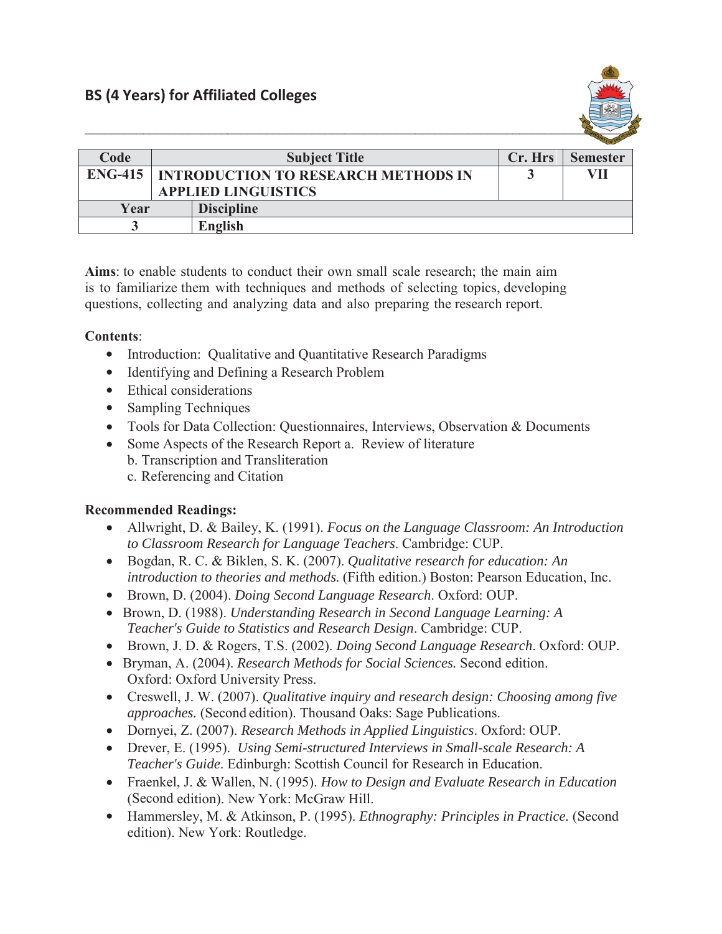

| Code           | <b>Subject Title</b>                       | Cr. Hrs | <b>Semester</b> |
|----------------|--------------------------------------------|---------|-----------------|
| <b>ENG-415</b> | <b>INTRODUCTION TO RESEARCH METHODS IN</b> |         | VII             |
|                | <b>APPLIED LINGUISTICS</b>                 |         |                 |
| Year           | <b>Discipline</b>                          |         |                 |
|                | English                                    |         |                 |

**Aims**: to enable students to conduct their own small scale research; the main aim is to familiarize them with techniques and methods of selecting topics, developing questions, collecting and analyzing data and also preparing the research report.

## **Contents**:

- Introduction: Qualitative and Quantitative Research Paradigms
- Identifying and Defining a Research Problem
- Ethical considerations
- Sampling Techniques
- Tools for Data Collection: Questionnaires, Interviews, Observation & Documents
- Some Aspects of the Research Report a. Review of literature b. Transcription and Transliteration c. Referencing and Citation

## **Recommended Readings:**

- x Allwright, D. & Bailey, K. (1991). *Focus on the Language Classroom: An Introduction to Classroom Research for Language Teachers*. Cambridge: CUP.
- x Bogdan, R. C. & Biklen, S. K. (2007). *Qualitative research for education: An introduction to theories and methods.* (Fifth edition.) Boston: Pearson Education, Inc.
- x Brown, D. (2004). *Doing Second Language Research*. Oxford: OUP.
- x Brown, D. (1988). *Understanding Research in Second Language Learning: A Teacher's Guide to Statistics and Research Design*. Cambridge: CUP.
- x Brown, J. D. & Rogers, T.S. (2002). *Doing Second Language Research*. Oxford: OUP.
- x Bryman, A. (2004). *Research Methods for Social Sciences.* Second edition. Oxford: Oxford University Press.
- x Creswell, J. W. (2007). *Qualitative inquiry and research design: Choosing among five approaches.* (Second edition). Thousand Oaks: Sage Publications.
- x Dornyei, Z. (2007). *Research Methods in Applied Linguistics*. Oxford: OUP.
- x Drever, E. (1995). *Using Semi-structured Interviews in Small-scale Research: A Teacher's Guide*. Edinburgh: Scottish Council for Research in Education.
- x Fraenkel, J. & Wallen, N. (1995). *How to Design and Evaluate Research in Education*  (Second edition). New York: McGraw Hill.
- x Hammersley, M. & Atkinson, P. (1995). *Ethnography: Principles in Practice.* (Second edition). New York: Routledge.